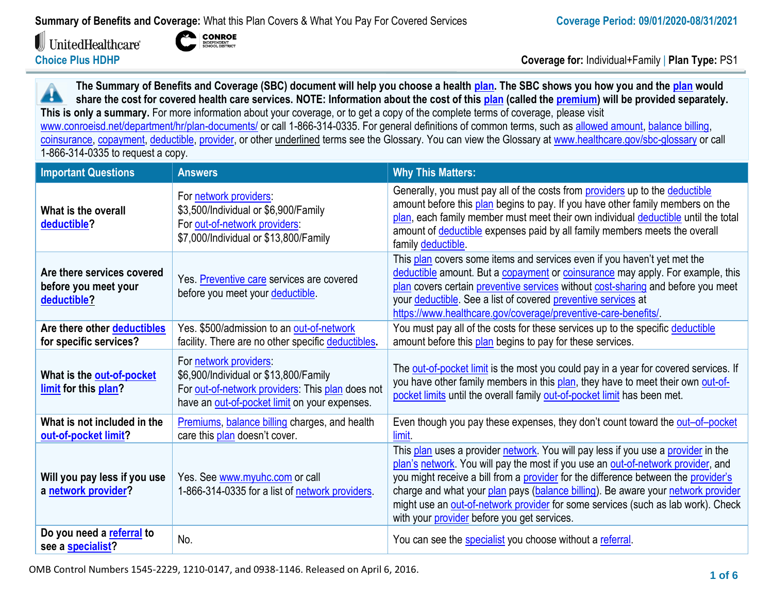UnitedHealthcare®



**Choice Plus HDHP Coverage for:** Individual+Family | **Plan Type:** PS1

**The Summary of Benefits and Coverage (SBC) document will help you choose a health [plan.](https://www.healthcare.gov/sbc-glossary/#plan) The SBC shows you how you and the [plan](https://www.healthcare.gov/sbc-glossary/#plan) would** Æ **share the cost for covered health care services. NOTE: Information about the cost of thi[s plan](https://www.healthcare.gov/sbc-glossary/#plan) (called the [premium\)](https://www.healthcare.gov/sbc-glossary/#premium) will be provided separately. This is only a summary.** For more information about your coverage, or to get a copy of the complete terms of coverage, please visit [www.conroeisd.net/department/hr/plan-documents/](http://www.conroeisd.net/department/hr/plan-documents/) or call 1-866-314-0335. For general definitions of common terms, such as [allowed amount,](https://www.healthcare.gov/sbc-glossary/#allowed-amount) [balance billing,](https://www.healthcare.gov/sbc-glossary/#balance-billing) [coinsurance,](https://www.healthcare.gov/sbc-glossary/#coinsurance) [copayment,](https://www.healthcare.gov/sbc-glossary/#copayment) [deductible,](https://www.healthcare.gov/sbc-glossary/#deductible) [provider,](https://www.healthcare.gov/sbc-glossary/#provider) or other underlined terms see the Glossary. You can view the Glossary at [www.healthcare.gov/sbc-glossary](http://www.healthcare.gov/sbc-glossary) or call 1-866-314-0335 to request a copy.

| <b>Important Questions</b>                                        | <b>Answers</b>                                                                                                                                                       | <b>Why This Matters:</b>                                                                                                                                                                                                                                                                                                                                                                                                                                                                  |  |  |  |  |
|-------------------------------------------------------------------|----------------------------------------------------------------------------------------------------------------------------------------------------------------------|-------------------------------------------------------------------------------------------------------------------------------------------------------------------------------------------------------------------------------------------------------------------------------------------------------------------------------------------------------------------------------------------------------------------------------------------------------------------------------------------|--|--|--|--|
| What is the overall<br>deductible?                                | For network providers:<br>\$3,500/Individual or \$6,900/Family<br>For out-of-network providers:<br>\$7,000/Individual or \$13,800/Family                             | Generally, you must pay all of the costs from providers up to the deductible<br>amount before this plan begins to pay. If you have other family members on the<br>plan, each family member must meet their own individual deductible until the total<br>amount of deductible expenses paid by all family members meets the overall<br>family deductible.                                                                                                                                  |  |  |  |  |
| Are there services covered<br>before you meet your<br>deductible? | Yes. Preventive care services are covered<br>before you meet your deductible.                                                                                        | This plan covers some items and services even if you haven't yet met the<br>deductible amount. But a copayment or coinsurance may apply. For example, this<br>plan covers certain preventive services without cost-sharing and before you meet<br>your deductible. See a list of covered preventive services at<br>https://www.healthcare.gov/coverage/preventive-care-benefits/                                                                                                          |  |  |  |  |
| Are there other deductibles<br>for specific services?             | Yes. \$500/admission to an out-of-network<br>facility. There are no other specific deductibles.                                                                      | You must pay all of the costs for these services up to the specific deductible<br>amount before this plan begins to pay for these services.                                                                                                                                                                                                                                                                                                                                               |  |  |  |  |
| What is the out-of-pocket<br>limit for this plan?                 | For network providers:<br>\$6,900/Individual or \$13,800/Family<br>For out-of-network providers: This plan does not<br>have an out-of-pocket limit on your expenses. | The out-of-pocket limit is the most you could pay in a year for covered services. If<br>you have other family members in this plan, they have to meet their own out-of-<br>pocket limits until the overall family out-of-pocket limit has been met.                                                                                                                                                                                                                                       |  |  |  |  |
| What is not included in the<br>out-of-pocket limit?               | Premiums, balance billing charges, and health<br>care this plan doesn't cover.                                                                                       | Even though you pay these expenses, they don't count toward the out-of-pocket<br>limit.                                                                                                                                                                                                                                                                                                                                                                                                   |  |  |  |  |
| Will you pay less if you use<br>a network provider?               | Yes. See www.myuhc.com or call<br>1-866-314-0335 for a list of network providers.                                                                                    | This plan uses a provider network. You will pay less if you use a provider in the<br>plan's network. You will pay the most if you use an out-of-network provider, and<br>you might receive a bill from a provider for the difference between the provider's<br>charge and what your plan pays (balance billing). Be aware your network provider<br>might use an out-of-network provider for some services (such as lab work). Check<br>with your <b>provider</b> before you get services. |  |  |  |  |
| Do you need a referral to<br>see a specialist?                    | No.                                                                                                                                                                  | You can see the specialist you choose without a referral.                                                                                                                                                                                                                                                                                                                                                                                                                                 |  |  |  |  |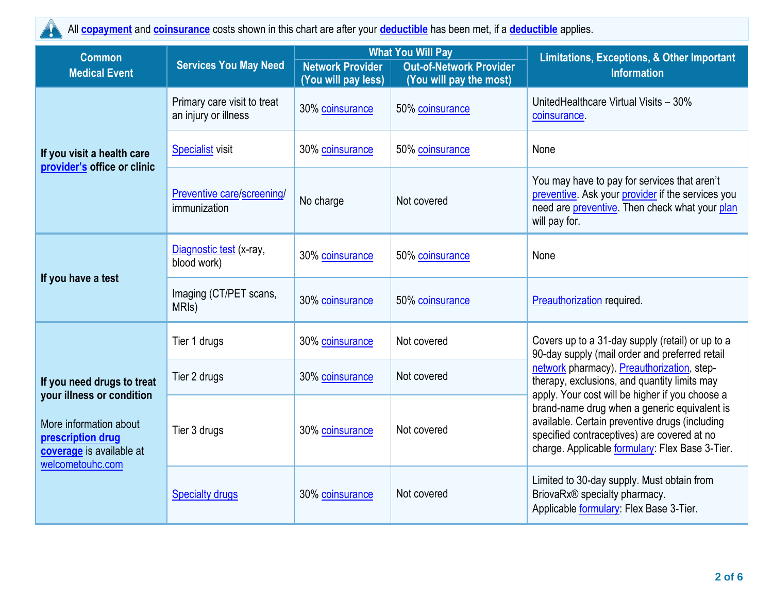

All **[copayment](https://www.healthcare.gov/sbc-glossary/#copayment)** and **[coinsurance](https://www.healthcare.gov/sbc-glossary/#coinsurance)** costs shown in this chart are after your **[deductible](https://www.healthcare.gov/sbc-glossary/#deductible)** has been met, if a **[deductible](https://www.healthcare.gov/sbc-glossary/#deductible)** applies.

| <b>Common</b>                                                                                                                                          |                                                     | <b>What You Will Pay</b>                       |                                                           | <b>Limitations, Exceptions, &amp; Other Important</b>                                                                                                                                            |  |
|--------------------------------------------------------------------------------------------------------------------------------------------------------|-----------------------------------------------------|------------------------------------------------|-----------------------------------------------------------|--------------------------------------------------------------------------------------------------------------------------------------------------------------------------------------------------|--|
| <b>Medical Event</b>                                                                                                                                   | <b>Services You May Need</b>                        | <b>Network Provider</b><br>(You will pay less) | <b>Out-of-Network Provider</b><br>(You will pay the most) | <b>Information</b>                                                                                                                                                                               |  |
|                                                                                                                                                        | Primary care visit to treat<br>an injury or illness | 30% coinsurance                                | 50% coinsurance                                           | UnitedHealthcare Virtual Visits - 30%<br>coinsurance.                                                                                                                                            |  |
| If you visit a health care<br>provider's office or clinic                                                                                              | <b>Specialist visit</b>                             | 30% coinsurance                                | 50% coinsurance                                           | None                                                                                                                                                                                             |  |
|                                                                                                                                                        | Preventive care/screening/<br>immunization          | No charge                                      | Not covered                                               | You may have to pay for services that aren't<br>preventive. Ask your provider if the services you<br>need are preventive. Then check what your plan<br>will pay for.                             |  |
|                                                                                                                                                        | Diagnostic test (x-ray,<br>blood work)              | 30% coinsurance                                | 50% coinsurance                                           | None                                                                                                                                                                                             |  |
| If you have a test                                                                                                                                     | Imaging (CT/PET scans,<br>MRI <sub>s</sub> )        | 30% coinsurance                                | 50% coinsurance                                           | Preauthorization required.                                                                                                                                                                       |  |
|                                                                                                                                                        | Tier 1 drugs                                        | 30% coinsurance                                | Not covered                                               | Covers up to a 31-day supply (retail) or up to a<br>90-day supply (mail order and preferred retail                                                                                               |  |
| If you need drugs to treat<br>your illness or condition<br>More information about<br>prescription drug<br>coverage is available at<br>welcometouhc.com | Tier 2 drugs                                        | 30% coinsurance                                | Not covered                                               | network pharmacy). Preauthorization, step-<br>therapy, exclusions, and quantity limits may<br>apply. Your cost will be higher if you choose a                                                    |  |
|                                                                                                                                                        | Tier 3 drugs                                        | 30% coinsurance                                | Not covered                                               | brand-name drug when a generic equivalent is<br>available. Certain preventive drugs (including<br>specified contraceptives) are covered at no<br>charge. Applicable formulary: Flex Base 3-Tier. |  |
|                                                                                                                                                        | <b>Specialty drugs</b>                              | 30% coinsurance                                | Not covered                                               | Limited to 30-day supply. Must obtain from<br>BriovaRx® specialty pharmacy.<br>Applicable formulary: Flex Base 3-Tier.                                                                           |  |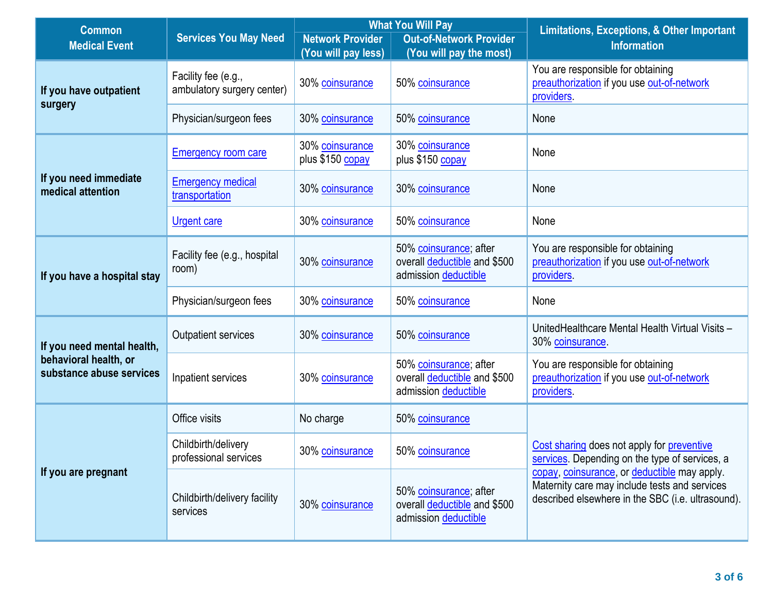| <b>Common</b>                                     |                                                   | <b>What You Will Pay</b>                                  |                                                                                | <b>Limitations, Exceptions, &amp; Other Important</b><br><b>Information</b>                                                                        |  |  |
|---------------------------------------------------|---------------------------------------------------|-----------------------------------------------------------|--------------------------------------------------------------------------------|----------------------------------------------------------------------------------------------------------------------------------------------------|--|--|
| <b>Medical Event</b>                              | <b>Services You May Need</b>                      | <b>Network Provider</b><br><b>Out-of-Network Provider</b> |                                                                                |                                                                                                                                                    |  |  |
|                                                   |                                                   | (You will pay less)                                       | (You will pay the most)                                                        |                                                                                                                                                    |  |  |
| If you have outpatient<br>surgery                 | Facility fee (e.g.,<br>ambulatory surgery center) | 30% coinsurance                                           | 50% coinsurance                                                                | You are responsible for obtaining<br>preauthorization if you use out-of-network<br>providers                                                       |  |  |
|                                                   | Physician/surgeon fees                            | 30% coinsurance                                           | 50% coinsurance                                                                | None                                                                                                                                               |  |  |
| If you need immediate<br>medical attention        | <b>Emergency room care</b>                        | 30% coinsurance<br>plus \$150 copay                       | 30% coinsurance<br>plus \$150 copay                                            | None                                                                                                                                               |  |  |
|                                                   | <b>Emergency medical</b><br>transportation        | 30% coinsurance                                           | 30% coinsurance                                                                | None                                                                                                                                               |  |  |
|                                                   | <b>Urgent care</b>                                | 30% coinsurance                                           | 50% coinsurance                                                                | None                                                                                                                                               |  |  |
| If you have a hospital stay                       | Facility fee (e.g., hospital<br>room)             | 30% coinsurance                                           | 50% coinsurance; after<br>overall deductible and \$500<br>admission deductible | You are responsible for obtaining<br>preauthorization if you use out-of-network<br>providers                                                       |  |  |
|                                                   | Physician/surgeon fees                            | 30% coinsurance                                           | 50% coinsurance                                                                | None                                                                                                                                               |  |  |
| If you need mental health,                        | <b>Outpatient services</b>                        | 30% coinsurance                                           | 50% coinsurance                                                                | UnitedHealthcare Mental Health Virtual Visits -<br>30% coinsurance                                                                                 |  |  |
| behavioral health, or<br>substance abuse services | Inpatient services                                | 30% coinsurance                                           | 50% coinsurance; after<br>overall deductible and \$500<br>admission deductible | You are responsible for obtaining<br>preauthorization if you use out-of-network<br>providers                                                       |  |  |
|                                                   | Office visits                                     | No charge                                                 | 50% coinsurance                                                                | Cost sharing does not apply for preventive<br>services. Depending on the type of services, a                                                       |  |  |
| If you are pregnant                               | Childbirth/delivery<br>professional services      | 30% coinsurance                                           | 50% coinsurance                                                                |                                                                                                                                                    |  |  |
|                                                   | Childbirth/delivery facility<br>services          | 30% coinsurance                                           | 50% coinsurance; after<br>overall deductible and \$500<br>admission deductible | copay, coinsurance, or deductible may apply.<br>Maternity care may include tests and services<br>described elsewhere in the SBC (i.e. ultrasound). |  |  |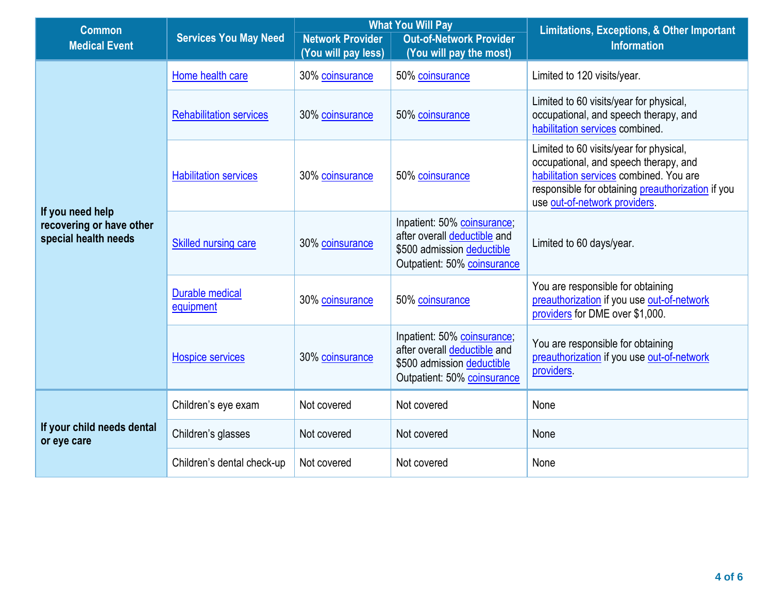| <b>Common</b>                                                        |                                     |                                                                                                             | <b>What You Will Pay</b>                                                                                                 | <b>Limitations, Exceptions, &amp; Other Important</b>                                                                                                                                                             |  |  |
|----------------------------------------------------------------------|-------------------------------------|-------------------------------------------------------------------------------------------------------------|--------------------------------------------------------------------------------------------------------------------------|-------------------------------------------------------------------------------------------------------------------------------------------------------------------------------------------------------------------|--|--|
| <b>Medical Event</b>                                                 | <b>Services You May Need</b>        | <b>Network Provider</b><br><b>Out-of-Network Provider</b><br>(You will pay the most)<br>(You will pay less) |                                                                                                                          | <b>Information</b>                                                                                                                                                                                                |  |  |
|                                                                      |                                     |                                                                                                             |                                                                                                                          |                                                                                                                                                                                                                   |  |  |
|                                                                      | Home health care                    | 30% coinsurance                                                                                             | 50% coinsurance                                                                                                          | Limited to 120 visits/year.                                                                                                                                                                                       |  |  |
| If you need help<br>recovering or have other<br>special health needs | <b>Rehabilitation services</b>      | 30% coinsurance                                                                                             | 50% coinsurance                                                                                                          | Limited to 60 visits/year for physical,<br>occupational, and speech therapy, and<br>habilitation services combined.                                                                                               |  |  |
|                                                                      | <b>Habilitation services</b>        | 30% coinsurance                                                                                             | 50% coinsurance                                                                                                          | Limited to 60 visits/year for physical,<br>occupational, and speech therapy, and<br>habilitation services combined. You are<br>responsible for obtaining preauthorization if you<br>use out-of-network providers. |  |  |
|                                                                      | <b>Skilled nursing care</b>         | 30% coinsurance                                                                                             | Inpatient: 50% coinsurance;<br>after overall deductible and<br>\$500 admission deductible<br>Outpatient: 50% coinsurance | Limited to 60 days/year.                                                                                                                                                                                          |  |  |
|                                                                      | <b>Durable medical</b><br>equipment | 30% coinsurance                                                                                             | 50% coinsurance                                                                                                          | You are responsible for obtaining<br>preauthorization if you use out-of-network<br>providers for DME over \$1,000.                                                                                                |  |  |
|                                                                      | <b>Hospice services</b>             | 30% coinsurance                                                                                             | Inpatient: 50% coinsurance;<br>after overall deductible and<br>\$500 admission deductible<br>Outpatient: 50% coinsurance | You are responsible for obtaining<br>preauthorization if you use out-of-network<br>providers.                                                                                                                     |  |  |
|                                                                      | Children's eye exam                 | Not covered                                                                                                 | Not covered                                                                                                              | None                                                                                                                                                                                                              |  |  |
| If your child needs dental<br>or eye care                            | Children's glasses                  | Not covered                                                                                                 | Not covered                                                                                                              | None                                                                                                                                                                                                              |  |  |
|                                                                      | Children's dental check-up          | Not covered                                                                                                 | Not covered                                                                                                              | None                                                                                                                                                                                                              |  |  |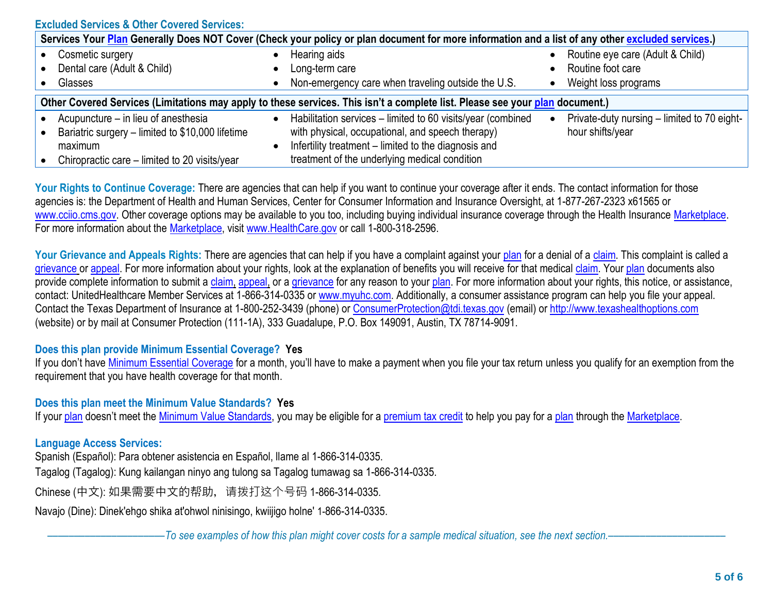|                                                                                                                              | <b>Excluded Services &amp; Other Covered Services:</b>                                                                                           |  |                                                             |  |                                             |  |  |  |  |
|------------------------------------------------------------------------------------------------------------------------------|--------------------------------------------------------------------------------------------------------------------------------------------------|--|-------------------------------------------------------------|--|---------------------------------------------|--|--|--|--|
|                                                                                                                              | Services Your Plan Generally Does NOT Cover (Check your policy or plan document for more information and a list of any other excluded services.) |  |                                                             |  |                                             |  |  |  |  |
|                                                                                                                              | Cosmetic surgery                                                                                                                                 |  | Hearing aids                                                |  | Routine eye care (Adult & Child)            |  |  |  |  |
|                                                                                                                              | Dental care (Adult & Child)                                                                                                                      |  | Long-term care                                              |  | Routine foot care                           |  |  |  |  |
|                                                                                                                              | Glasses                                                                                                                                          |  | Non-emergency care when traveling outside the U.S.          |  | Weight loss programs                        |  |  |  |  |
| Other Covered Services (Limitations may apply to these services. This isn't a complete list. Please see your plan document.) |                                                                                                                                                  |  |                                                             |  |                                             |  |  |  |  |
|                                                                                                                              | Acupuncture - in lieu of anesthesia                                                                                                              |  | Habilitation services - limited to 60 visits/year (combined |  | Private-duty nursing – limited to 70 eight- |  |  |  |  |
|                                                                                                                              | Bariatric surgery – limited to \$10,000 lifetime                                                                                                 |  | with physical, occupational, and speech therapy)            |  | hour shifts/year                            |  |  |  |  |
|                                                                                                                              | maximum                                                                                                                                          |  | Infertility treatment – limited to the diagnosis and        |  |                                             |  |  |  |  |
|                                                                                                                              | Chiropractic care – limited to 20 visits/year                                                                                                    |  | treatment of the underlying medical condition               |  |                                             |  |  |  |  |

Your Rights to Continue Coverage: There are agencies that can help if you want to continue your coverage after it ends. The contact information for those agencies is: the Department of Health and Human Services, Center for Consumer Information and Insurance Oversight, at 1-877-267-2323 x61565 or [www.cciio.cms.gov.](http://www.cciio.cms.gov/) Other coverage options may be available to you too, including buying individual insurance coverage through the Health Insurance [Marketplace.](https://www.healthcare.gov/sbc-glossary/#marketplace) For more information about the [Marketplace,](https://www.healthcare.gov/sbc-glossary/#marketplace) visit [www.HealthCare.gov](http://www.healthcare.gov/) or call 1-800-318-2596.

Your Grievance and Appeals Rights: There are agencies that can help if you have a complaint against your [plan](https://www.healthcare.gov/sbc-glossary/#plan) for a denial of a [claim.](https://www.healthcare.gov/sbc-glossary/#claim) This complaint is called a [grievance](https://www.healthcare.gov/sbc-glossary/#grievance) or [appeal.](https://www.healthcare.gov/sbc-glossary/#appeal) For more information about your rights, look at the explanation of benefits you will receive for that medical [claim.](https://www.healthcare.gov/sbc-glossary/#claim) Your [plan](https://www.healthcare.gov/sbc-glossary/#plan) documents also provide complete information to submit a [claim,](https://www.healthcare.gov/sbc-glossary/#claim) [appeal,](https://www.healthcare.gov/sbc-glossary/#appeal) or a [grievance](https://www.healthcare.gov/sbc-glossary/#grievance) for any reason to your [plan.](https://www.healthcare.gov/sbc-glossary/#plan) For more information about your rights, this notice, or assistance, contact: UnitedHealthcare Member Services at 1-866-314-0335 or [www.myuhc.com.](http://www.myuhc.com/) Additionally, a consumer assistance program can help you file your appeal. Contact the Texas Department of Insurance at 1-800-252-3439 (phone) or [ConsumerProtection@tdi.texas.gov](mailto:ConsumerProtection@tdi.texas.gov) (email) or [http://www.texashealthoptions.com](http://www.texashealthoptions.com/) (website) or by mail at Consumer Protection (111-1A), 333 Guadalupe, P.O. Box 149091, Austin, TX 78714-9091.

## **Does this plan provide Minimum Essential Coverage? Yes**

If you don't have [Minimum Essential Coverage](https://www.healthcare.gov/sbc-glossary/#minimum-essential-coverage) for a month, you'll have to make a payment when you file your tax return unless you qualify for an exemption from the requirement that you have health coverage for that month.

## **Does this plan meet the Minimum Value Standards? Yes**

If your [plan](https://www.healthcare.gov/sbc-glossary/#plan) doesn't meet the [Minimum Value Standards,](https://www.healthcare.gov/sbc-glossary/#minimum-value-standard) you may be eligible for a [premium tax credit](https://www.healthcare.gov/sbc-glossary/#premium-tax-credits) to help you pay for a [plan](https://www.healthcare.gov/sbc-glossary/#plan) through the [Marketplace.](https://www.healthcare.gov/sbc-glossary/#marketplace)

## **Language Access Services:**

Spanish (Español): Para obtener asistencia en Español, llame al 1-866-314-0335.

Tagalog (Tagalog): Kung kailangan ninyo ang tulong sa Tagalog tumawag sa 1-866-314-0335.

Chinese (中文): 如果需要中文的帮助,请拨打这个号码 1-866-314-0335.

Navajo (Dine): Dinek'ehgo shika at'ohwol ninisingo, kwiijigo holne' 1-866-314-0335.

––––––––––––––––––––––*To see examples of how this plan might cover costs for a sample medical situation, see the next section.–––––––––––*–––––––––––